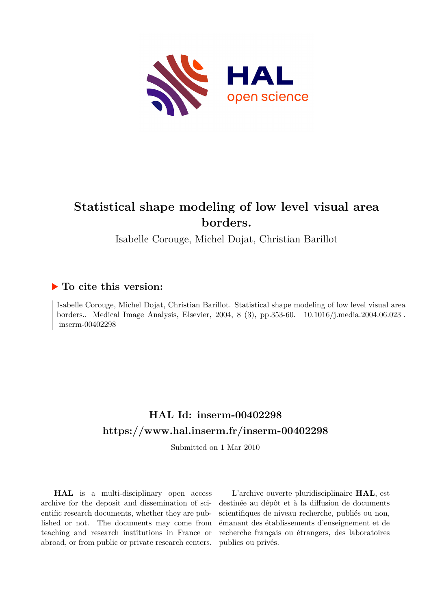

# **Statistical shape modeling of low level visual area borders.**

Isabelle Corouge, Michel Dojat, Christian Barillot

# **To cite this version:**

Isabelle Corouge, Michel Dojat, Christian Barillot. Statistical shape modeling of low level visual area borders.. Medical Image Analysis, Elsevier, 2004, 8 (3), pp.353-60.  $10.1016/j$ .media.2004.06.023.  $inserm-00402298$ 

# **HAL Id: inserm-00402298 <https://www.hal.inserm.fr/inserm-00402298>**

Submitted on 1 Mar 2010

**HAL** is a multi-disciplinary open access archive for the deposit and dissemination of scientific research documents, whether they are published or not. The documents may come from teaching and research institutions in France or abroad, or from public or private research centers.

L'archive ouverte pluridisciplinaire **HAL**, est destinée au dépôt et à la diffusion de documents scientifiques de niveau recherche, publiés ou non, émanant des établissements d'enseignement et de recherche français ou étrangers, des laboratoires publics ou privés.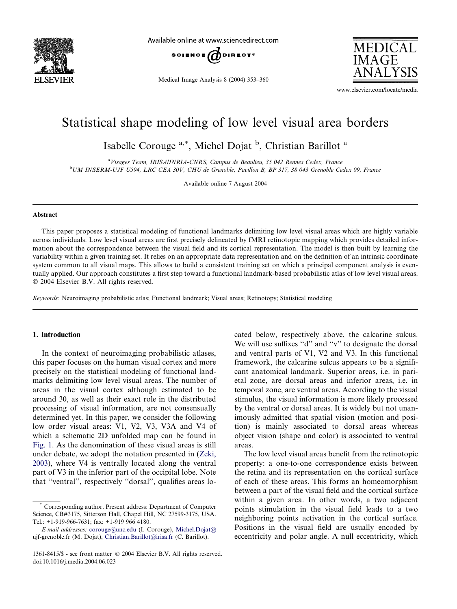

Available online at www.sciencedirect.com



Medical Image Analysis 8 (2004) 353–360



www.elsevier.com/locate/media

# Statistical shape modeling of low level visual area borders

Isabelle Corouge <sup>a,\*</sup>, Michel Dojat <sup>b</sup>, Christian Barillot <sup>a</sup>

<sup>a</sup>Visages Team, IRISA/INRIA-CNRS, Campus de Beaulieu, 35 042 Rennes Cedex, France b UM INSERM-UJF U594, LRC CEA 30V, CHU de Grenoble, Pavillon B, BP 317, 38 043 Grenoble Cedex 09, France

Available online 7 August 2004

## Abstract

This paper proposes a statistical modeling of functional landmarks delimiting low level visual areas which are highly variable across individuals. Low level visual areas are first precisely delineated by fMRI retinotopic mapping which provides detailed information about the correspondence between the visual field and its cortical representation. The model is then built by learning the variability within a given training set. It relies on an appropriate data representation and on the definition of an intrinsic coordinate system common to all visual maps. This allows to build a consistent training set on which a principal component analysis is eventually applied. Our approach constitutes a first step toward a functional landmark-based probabilistic atlas of low level visual areas. 2004 Elsevier B.V. All rights reserved.

Keywords: Neuroimaging probabilistic atlas; Functional landmark; Visual areas; Retinotopy; Statistical modeling

# 1. Introduction

In the context of neuroimaging probabilistic atlases, this paper focuses on the human visual cortex and more precisely on the statistical modeling of functional landmarks delimiting low level visual areas. The number of areas in the visual cortex although estimated to be around 30, as well as their exact role in the distributed processing of visual information, are not consensually determined yet. In this paper, we consider the following low order visual areas: V1, V2, V3, V3A and V4 of which a schematic 2D unfolded map can be found in Fig. 1. As the denomination of these visual areas is still under debate, we adopt the notation presented in (Zeki, 2003), where V4 is ventrally located along the ventral part of V3 in the inferior part of the occipital lobe. Note that ''ventral'', respectively ''dorsal'', qualifies areas located below, respectively above, the calcarine sulcus. We will use suffixes "d" and "v" to designate the dorsal and ventral parts of V1, V2 and V3. In this functional framework, the calcarine sulcus appears to be a significant anatomical landmark. Superior areas, i.e. in parietal zone, are dorsal areas and inferior areas, i.e. in temporal zone, are ventral areas. According to the visual stimulus, the visual information is more likely processed by the ventral or dorsal areas. It is widely but not unanimously admitted that spatial vision (motion and position) is mainly associated to dorsal areas whereas object vision (shape and color) is associated to ventral areas.

The low level visual areas benefit from the retinotopic property: a one-to-one correspondence exists between the retina and its representation on the cortical surface of each of these areas. This forms an homeomorphism between a part of the visual field and the cortical surface within a given area. In other words, a two adjacent points stimulation in the visual field leads to a two neighboring points activation in the cortical surface. Positions in the visual field are usually encoded by eccentricity and polar angle. A null eccentricity, which

<sup>\*</sup> Corresponding author. Present address: Department of Computer Science, CB#3175, Sitterson Hall, Chapel Hill, NC 27599-3175, USA. Tel.: +1-919-966-7631; fax: +1-919 966 4180.

E-mail addresses: [corouge@unc.edu](mailto:corouge@unc.edu ) (I. Corouge), [Michel.Dojat@](mailto:Michel.Dojat@ ) ujf-grenoble.fr (M. Dojat), [Christian.Barillot@irisa.fr](mailto:Christian.Barillot@irisa.fr ) (C. Barillot).

<sup>1361-8415/\$ -</sup> see front matter © 2004 Elsevier B.V. All rights reserved. doi:10.1016/j.media.2004.06.023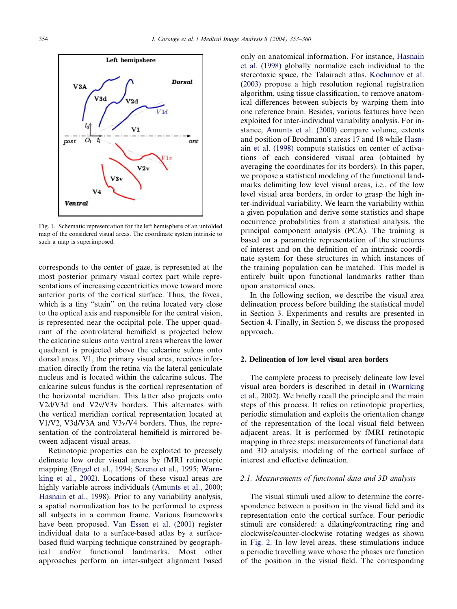

Fig. 1. Schematic representation for the left hemisphere of an unfolded map of the considered visual areas. The coordinate system intrinsic to such a map is superimposed.

corresponds to the center of gaze, is represented at the most posterior primary visual cortex part while representations of increasing eccentricities move toward more anterior parts of the cortical surface. Thus, the fovea, which is a tiny ''stain'' on the retina located very close to the optical axis and responsible for the central vision, is represented near the occipital pole. The upper quadrant of the controlateral hemifield is projected below the calcarine sulcus onto ventral areas whereas the lower quadrant is projected above the calcarine sulcus onto dorsal areas. V1, the primary visual area, receives information directly from the retina via the lateral geniculate nucleus and is located within the calcarine sulcus. The calcarine sulcus fundus is the cortical representation of the horizontal meridian. This latter also projects onto V2d/V3d and V2v/V3v borders. This alternates with the vertical meridian cortical representation located at V1/V2, V3d/V3A and V3v/V4 borders. Thus, the representation of the controlateral hemifield is mirrored between adjacent visual areas.

Retinotopic properties can be exploited to precisely delineate low order visual areas by fMRI retinotopic mapping (Engel et al., 1994; Sereno et al., 1995; Warnking et al., 2002). Locations of these visual areas are highly variable across individuals (Amunts et al., 2000; Hasnain et al., 1998). Prior to any variability analysis, a spatial normalization has to be performed to express all subjects in a common frame. Various frameworks have been proposed. Van Essen et al. (2001) register individual data to a surface-based atlas by a surfacebased fluid warping technique constrained by geographical and/or functional landmarks. Most other approaches perform an inter-subject alignment based only on anatomical information. For instance, Hasnain et al. (1998) globally normalize each individual to the stereotaxic space, the Talairach atlas. Kochunov et al. (2003) propose a high resolution regional registration algorithm, using tissue classification, to remove anatomical differences between subjects by warping them into one reference brain. Besides, various features have been exploited for inter-individual variability analysis. For instance, Amunts et al. (2000) compare volume, extents and position of Brodmann's areas 17 and 18 while Hasnain et al. (1998) compute statistics on center of activations of each considered visual area (obtained by averaging the coordinates for its borders). In this paper, we propose a statistical modeling of the functional landmarks delimiting low level visual areas, i.e., of the low level visual area borders, in order to grasp the high inter-individual variability. We learn the variability within a given population and derive some statistics and shape occurrence probabilities from a statistical analysis, the principal component analysis (PCA). The training is based on a parametric representation of the structures of interest and on the definition of an intrinsic coordinate system for these structures in which instances of the training population can be matched. This model is entirely built upon functional landmarks rather than upon anatomical ones.

In the following section, we describe the visual area delineation process before building the statistical model in Section 3. Experiments and results are presented in Section 4. Finally, in Section 5, we discuss the proposed approach.

# 2. Delineation of low level visual area borders

The complete process to precisely delineate low level visual area borders is described in detail in (Warnking et al., 2002). We briefly recall the principle and the main steps of this process. It relies on retinotopic properties, periodic stimulation and exploits the orientation change of the representation of the local visual field between adjacent areas. It is performed by fMRI retinotopic mapping in three steps: measurements of functional data and 3D analysis, modeling of the cortical surface of interest and effective delineation.

#### 2.1. Measurements of functional data and 3D analysis

The visual stimuli used allow to determine the correspondence between a position in the visual field and its representation onto the cortical surface. Four periodic stimuli are considered: a dilating/contracting ring and clockwise/counter-clockwise rotating wedges as shown in Fig. 2. In low level areas, these stimulations induce a periodic travelling wave whose the phases are function of the position in the visual field. The corresponding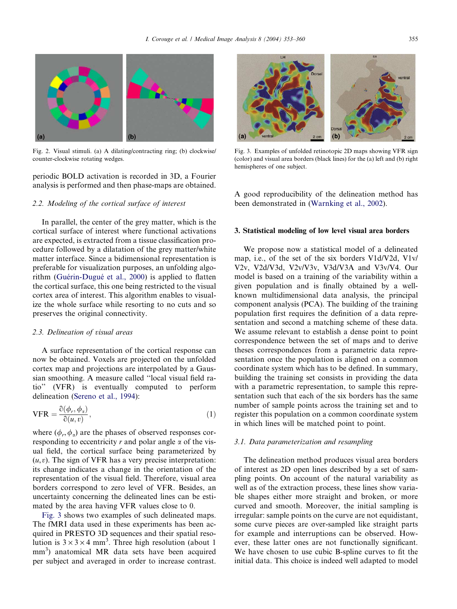

Fig. 2. Visual stimuli. (a) A dilating/contracting ring; (b) clockwise/ counter-clockwise rotating wedges.

periodic BOLD activation is recorded in 3D, a Fourier analysis is performed and then phase-maps are obtained.

# 2.2. Modeling of the cortical surface of interest

In parallel, the center of the grey matter, which is the cortical surface of interest where functional activations are expected, is extracted from a tissue classification procedure followed by a dilatation of the grey matter/white matter interface. Since a bidimensional representation is preferable for visualization purposes, an unfolding algorithm (Guérin-Dugué et al., 2000) is applied to flatten the cortical surface, this one being restricted to the visual cortex area of interest. This algorithm enables to visualize the whole surface while resorting to no cuts and so preserves the original connectivity.

#### 2.3. Delineation of visual areas

A surface representation of the cortical response can now be obtained. Voxels are projected on the unfolded cortex map and projections are interpolated by a Gaussian smoothing. A measure called ''local visual field ratio'' (VFR) is eventually computed to perform delineation (Sereno et al., 1994):

$$
VFR = \frac{\partial(\phi_r, \phi_a)}{\partial(u, v)},
$$
\n(1)

where  $(\phi_r, \phi_\alpha)$  are the phases of observed responses corresponding to eccentricity r and polar angle  $\alpha$  of the visual field, the cortical surface being parameterized by  $(u, v)$ . The sign of VFR has a very precise interpretation: its change indicates a change in the orientation of the representation of the visual field. Therefore, visual area borders correspond to zero level of VFR. Besides, an uncertainty concerning the delineated lines can be estimated by the area having VFR values close to 0.

Fig. 3 shows two examples of such delineated maps. The fMRI data used in these experiments has been acquired in PRESTO 3D sequences and their spatial resolution is  $3 \times 3 \times 4$  mm<sup>3</sup>. Three high resolution (about 1) mm<sup>3</sup>) anatomical MR data sets have been acquired per subject and averaged in order to increase contrast.



Fig. 3. Examples of unfolded retinotopic 2D maps showing VFR sign (color) and visual area borders (black lines) for the (a) left and (b) right hemispheres of one subject.

A good reproducibility of the delineation method has been demonstrated in (Warnking et al., 2002).

#### 3. Statistical modeling of low level visual area borders

We propose now a statistical model of a delineated map, i.e., of the set of the six borders V1d/V2d, V1v/ V2v, V2d/V3d, V2v/V3v, V3d/V3A and V3v/V4. Our model is based on a training of the variability within a given population and is finally obtained by a wellknown multidimensional data analysis, the principal component analysis (PCA). The building of the training population first requires the definition of a data representation and second a matching scheme of these data. We assume relevant to establish a dense point to point correspondence between the set of maps and to derive theses correspondences from a parametric data representation once the population is aligned on a common coordinate system which has to be defined. In summary, building the training set consists in providing the data with a parametric representation, to sample this representation such that each of the six borders has the same number of sample points across the training set and to register this population on a common coordinate system in which lines will be matched point to point.

#### 3.1. Data parameterization and resampling

The delineation method produces visual area borders of interest as 2D open lines described by a set of sampling points. On account of the natural variability as well as of the extraction process, these lines show variable shapes either more straight and broken, or more curved and smooth. Moreover, the initial sampling is irregular: sample points on the curve are not equidistant, some curve pieces are over-sampled like straight parts for example and interruptions can be observed. However, these latter ones are not functionally significant. We have chosen to use cubic B-spline curves to fit the initial data. This choice is indeed well adapted to model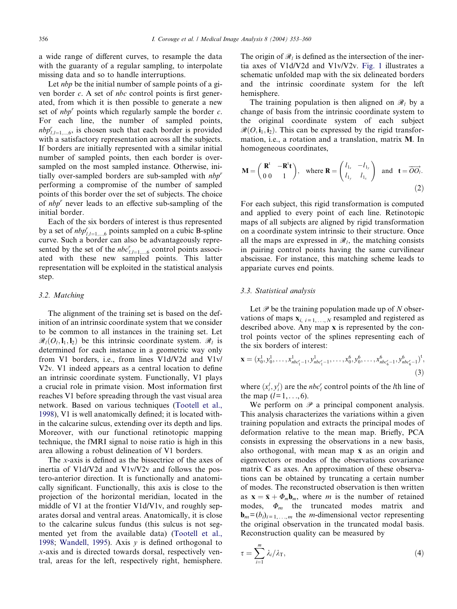a wide range of different curves, to resample the data with the guaranty of a regular sampling, to interpolate missing data and so to handle interruptions.

Let *nbp* be the initial number of sample points of a given border c. A set of nbc control points is first generated, from which it is then possible to generate a new set of  $nbp^r$  points which regularly sample the border c. For each line, the number of sampled points,  $nbp_{l,l=1,\dots,6}^{r}$ , is chosen such that each border is provided with a satisfactory representation across all the subjects. If borders are initially represented with a similar initial number of sampled points, then each border is oversampled on the most sampled instance. Otherwise, initially over-sampled borders are sub-sampled with  $nbp'$ performing a compromise of the number of sampled points of this border over the set of subjects. The choice of  $nbp^r$  never leads to an effective sub-sampling of the initial border.

Each of the six borders of interest is thus represented by a set of  $nbp_{l,l=1,\dots,6}^r$  points sampled on a cubic B-spline curve. Such a border can also be advantageously represented by the set of the  $nbc_{l,l=1,\dots,6}^r$  control points associated with these new sampled points. This latter representation will be exploited in the statistical analysis step.

#### 3.2. Matching

The alignment of the training set is based on the definition of an intrinsic coordinate system that we consider to be common to all instances in the training set. Let  $\mathcal{R}_1(O_1, I_1, I_2)$  be this intrinsic coordinate system.  $\mathcal{R}_1$  is determined for each instance in a geometric way only from V1 borders, i.e., from lines V1d/V2d and V1v/ V2v. V1 indeed appears as a central location to define an intrinsic coordinate system. Functionally, V1 plays a crucial role in primate vision. Most information first reaches V1 before spreading through the vast visual area network. Based on various techniques (Tootell et al., 1998), V1 is well anatomically defined; it is located within the calcarine sulcus, extending over its depth and lips. Moreover, with our functional retinotopic mapping technique, the fMRI signal to noise ratio is high in this area allowing a robust delineation of V1 borders.

The x-axis is defined as the bissectrice of the axes of inertia of V1d/V2d and V1v/V2v and follows the postero-anterior direction. It is functionally and anatomically significant. Functionally, this axis is close to the projection of the horizontal meridian, located in the middle of V1 at the frontier V1d/V1v, and roughly separates dorsal and ventral areas. Anatomically, it is close to the calcarine sulcus fundus (this sulcus is not segmented yet from the available data) (Tootell et al., 1998; Wandell, 1995). Axis  $y$  is defined orthogonal to x-axis and is directed towards dorsal, respectively ventral, areas for the left, respectively right, hemisphere.

The origin of  $\mathcal{R}_l$  is defined as the intersection of the inertia axes of V1d/V2d and V1v/V2v. Fig. 1 illustrates a schematic unfolded map with the six delineated borders and the intrinsic coordinate system for the left hemisphere.

The training population is then aligned on  $\mathcal{R}_l$  by a change of basis from the intrinsic coordinate system to the original coordinate system of each subject  $\mathcal{R}(O, i_1, i_2)$ . This can be expressed by the rigid transformation, i.e., a rotation and a translation, matrix M. In homogeneous coordinates,

$$
\mathbf{M} = \begin{pmatrix} \mathbf{R}^{t} & -\mathbf{R}^{t} \mathbf{t} \\ 0 & 0 & 1 \end{pmatrix}, \text{ where } \mathbf{R} = \begin{pmatrix} l_{1_{x}} & -l_{1_{y}} \\ l_{1_{y}} & l_{1_{x}} \end{pmatrix} \text{ and } \mathbf{t} = \overrightarrow{OO_{l}}.
$$
\n(2)

For each subject, this rigid transformation is computed and applied to every point of each line. Retinotopic maps of all subjects are aligned by rigid transformation on a coordinate system intrinsic to their structure. Once all the maps are expressed in  $\mathcal{R}_l$ , the matching consists in pairing control points having the same curvilinear abscissae. For instance, this matching scheme leads to appariate curves end points.

#### 3.3. Statistical analysis

Let  $\mathscr P$  be the training population made up of N observations of maps  $\mathbf{x}_{i, i=1,..., N}$  resampled and registered as described above. Any map x is represented by the control points vector of the splines representing each of the six borders of interest:

$$
\mathbf{x} = (x_0^1, y_0^1, \dots, x_{nbc_1^r-1}^1, y_{nbc_1^r-1}^1, \dots, x_0^6, y_0^6, \dots, x_{nbc_6^r-1}^6, y_{nbc_6^r-1}^6)^{\dagger},
$$
\n(3)

where  $(x_i^l, y_i^l)$  are the *nbc<sup>r</sup>* control points of the *l*th line of the map  $(l = 1, ..., 6)$ .

We perform on  $\mathscr P$  a principal component analysis. This analysis characterizes the variations within a given training population and extracts the principal modes of deformation relative to the mean map. Briefly, PCA consists in expressing the observations in a new basis, also orthogonal, with mean map  $\bar{x}$  as an origin and eigenvectors or modes of the observations covariance matrix C as axes. An approximation of these observations can be obtained by truncating a certain number of modes. The reconstructed observation is then written as  $\mathbf{x} = \bar{\mathbf{x}} + \Phi_m \mathbf{b}_m$ , where *m* is the number of retained modes,  $\Phi_m$  the truncated modes matrix and  **the** *m***-dimensional vector representing** the original observation in the truncated modal basis. Reconstruction quality can be measured by

$$
\tau = \sum_{i=1}^{m} \lambda_i / \lambda_{\rm T},\tag{4}
$$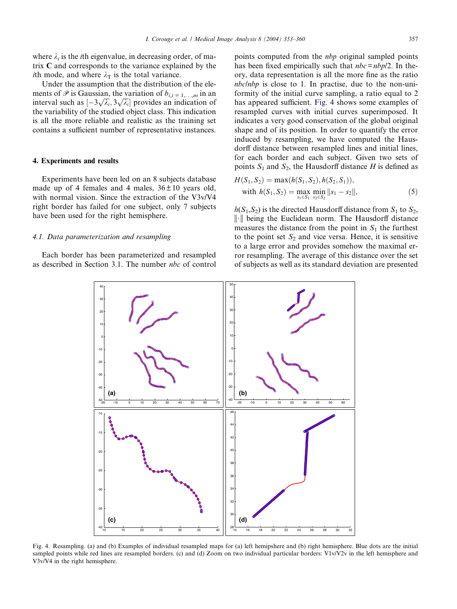where  $\lambda_i$  is the *i*th eigenvalue, in decreasing order, of matrix C and corresponds to the variance explained by the *i*th mode, and where  $\lambda_T$  is the total variance.

Under the assumption that the distribution of the elements of  $\mathscr P$  is Gaussian, the variation of  $b_{i,i=1,\dots,m}$  in an interval such as  $[-3\sqrt{\lambda_i}, 3\sqrt{\lambda_i}]$  provides an indication of the variability of the studied object class. This indication is all the more reliable and realistic as the training set contains a sufficient number of representative instances.

# 4. Experiments and results

Experiments have been led on an 8 subjects database made up of 4 females and 4 males,  $36 \pm 10$  years old, with normal vision. Since the extraction of the V3v/V4 right border has failed for one subject, only 7 subjects have been used for the right hemisphere.

## 4.1. Data parameterization and resampling

Each border has been parameterized and resampled as described in Section 3.1. The number nbc of control points computed from the nbp original sampled points has been fixed empirically such that  $\eta_{bc} = \eta_{b}$  /2. In theory, data representation is all the more fine as the ratio nbc/nbp is close to 1. In practise, due to the non-uniformity of the initial curve sampling, a ratio equal to 2 has appeared sufficient. Fig. 4 shows some examples of resampled curves with initial curves superimposed. It indicates a very good conservation of the global original shape and of its position. In order to quantify the error induced by resampling, we have computed the Hausdorff distance between resampled lines and initial lines, for each border and each subject. Given two sets of points  $S_1$  and  $S_2$ , the Hausdorff distance H is defined as

$$
H(S_1, S_2) = \max(h(S_1, S_2), h(S_2, S_1)),
$$
  
with  $h(S_1, S_2) = \max_{s_1 \in S_1} \min_{s_2 \in S_2} ||s_1 - s_2||,$  (5)

 $h(S_1, S_2)$  is the directed Hausdorff distance from  $S_1$  to  $S_2$ ,  $\|\cdot\|$  being the Euclidean norm. The Hausdorff distance measures the distance from the point in  $S_1$  the furthest to the point set  $S_2$  and vice versa. Hence, it is sensitive to a large error and provides somehow the maximal error resampling. The average of this distance over the set of subjects as well as its standard deviation are presented



Fig. 4. Resampling. (a) and (b) Examples of individual resampled maps for (a) left hemipshere and (b) right hemisphere. Blue dots are the initial sampled points while red lines are resampled borders. (c) and (d) Zoom on two individual particular borders: V1v/V2v in the left hemisphere and V3v/V4 in the right hemisphere.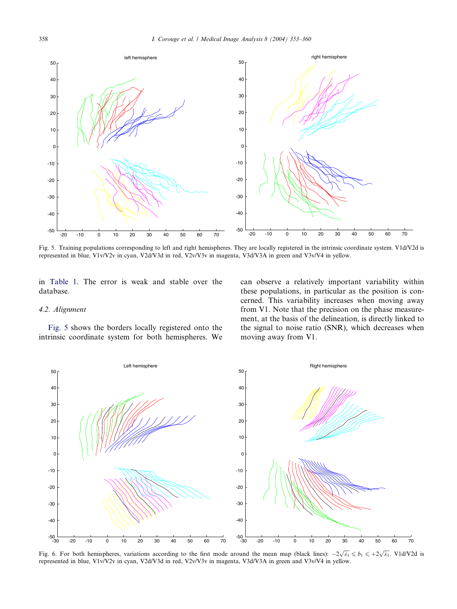

Fig. 5. Training populations corresponding to left and right hemispheres. They are locally registered in the intrinsic coordinate system. V1d/V2d is represented in blue, V1v/V2v in cyan, V2d/V3d in red, V2v/V3v in magenta, V3d/V3A in green and V3v/V4 in yellow.

in Table 1. The error is weak and stable over the database.

#### 4.2. Alignment

Fig. 5 shows the borders locally registered onto the intrinsic coordinate system for both hemispheres. We can observe a relatively important variability within these populations, in particular as the position is concerned. This variability increases when moving away from V1. Note that the precision on the phase measurement, at the basis of the delineation, is directly linked to the signal to noise ratio (SNR), which decreases when moving away from V1.



Fig. 6. For both hemispheres, variations according to the first mode around the mean map (black lines):  $-2\sqrt{\lambda_1} \leq b_1 \leq +2\sqrt{\lambda_1}$ . V1d/V2d is represented in blue, V1v/V2v in cyan, V2d/V3d in red, V2v/V3v in magenta, V3d/V3A in green and V3v/V4 in yellow.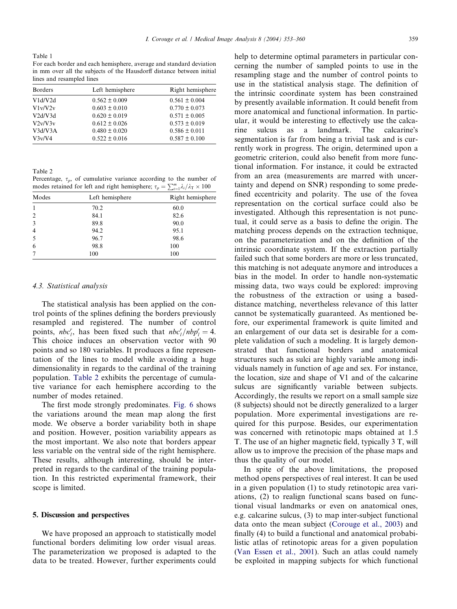Table 1

For each border and each hemisphere, average and standard deviation in mm over all the subjects of the Hausdorff distance between initial lines and resampled lines

| Borders | Left hemisphere   | Right hemisphere  |
|---------|-------------------|-------------------|
| V1d/V2d | $0.562 \pm 0.009$ | $0.561 \pm 0.004$ |
| V1v/V2v | $0.603 \pm 0.010$ | $0.770 \pm 0.073$ |
| V2d/V3d | $0.620 \pm 0.019$ | $0.571 \pm 0.005$ |
| V2v/V3v | $0.612 \pm 0.026$ | $0.573 \pm 0.019$ |
| V3d/V3A | $0.480 \pm 0.020$ | $0.586 \pm 0.011$ |
| V3v/V4  | $0.522 \pm 0.016$ | $0.587 \pm 0.100$ |

Table 2

Percentage,  $\tau_p$ , of cumulative variance according to the number of modes retained for left and right hemisphere;  $\tau_p = \sum_{i=1}^m \lambda_i / \lambda_{\text{T}} \times 100$ 

| Modes          | Left hemisphere | Right hemisphere |
|----------------|-----------------|------------------|
|                | 70.2            | 60.0             |
| $\overline{2}$ | 84.1            | 82.6             |
| 3              | 89.8            | 90.0             |
| $\overline{4}$ | 94.2            | 95.1             |
| 5              | 96.7            | 98.6             |
| 6              | 98.8            | 100              |
|                | 100             | 100              |

#### 4.3. Statistical analysis

The statistical analysis has been applied on the control points of the splines defining the borders previously resampled and registered. The number of control points,  $nbc_i^r$ , has been fixed such that  $nbc_i^r/nbp_i^r = 4$ . This choice induces an observation vector with 90 points and so 180 variables. It produces a fine representation of the lines to model while avoiding a huge dimensionality in regards to the cardinal of the training population. Table 2 exhibits the percentage of cumulative variance for each hemisphere according to the number of modes retained.

The first mode strongly predominates. Fig. 6 shows the variations around the mean map along the first mode. We observe a border variability both in shape and position. However, position variability appears as the most important. We also note that borders appear less variable on the ventral side of the right hemisphere. These results, although interesting, should be interpreted in regards to the cardinal of the training population. In this restricted experimental framework, their scope is limited.

#### 5. Discussion and perspectives

We have proposed an approach to statistically model functional borders delimiting low order visual areas. The parameterization we proposed is adapted to the data to be treated. However, further experiments could help to determine optimal parameters in particular concerning the number of sampled points to use in the resampling stage and the number of control points to use in the statistical analysis stage. The definition of the intrinsic coordinate system has been constrained by presently available information. It could benefit from more anatomical and functional information. In particular, it would be interesting to effectively use the calcarine sulcus as a landmark. The calcarine's segmentation is far from being a trivial task and is currently work in progress. The origin, determined upon a geometric criterion, could also benefit from more functional information. For instance, it could be extracted from an area (measurements are marred with uncertainty and depend on SNR) responding to some predefined eccentricity and polarity. The use of the fovea representation on the cortical surface could also be investigated. Although this representation is not punctual, it could serve as a basis to define the origin. The matching process depends on the extraction technique, on the parameterization and on the definition of the intrinsic coordinate system. If the extraction partially failed such that some borders are more or less truncated, this matching is not adequate anymore and introduces a bias in the model. In order to handle non-systematic missing data, two ways could be explored: improving the robustness of the extraction or using a baseddistance matching, nevertheless relevance of this latter cannot be systematically guaranteed. As mentioned before, our experimental framework is quite limited and an enlargement of our data set is desirable for a complete validation of such a modeling. It is largely demonstrated that functional borders and anatomical structures such as sulci are highly variable among individuals namely in function of age and sex. For instance, the location, size and shape of V1 and of the calcarine sulcus are significantly variable between subjects. Accordingly, the results we report on a small sample size (8 subjects) should not be directly generalized to a larger population. More experimental investigations are required for this purpose. Besides, our experimentation was concerned with retinotopic maps obtained at 1.5 T. The use of an higher magnetic field, typically 3 T, will allow us to improve the precision of the phase maps and thus the quality of our model.

In spite of the above limitations, the proposed method opens perspectives of real interest. It can be used in a given population (1) to study retinotopic area variations, (2) to realign functional scans based on functional visual landmarks or even on anatomical ones, e.g. calcarine sulcus, (3) to map inter-subject functional data onto the mean subject (Corouge et al., 2003) and finally (4) to build a functional and anatomical probabilistic atlas of retinotopic areas for a given population (Van Essen et al., 2001). Such an atlas could namely be exploited in mapping subjects for which functional